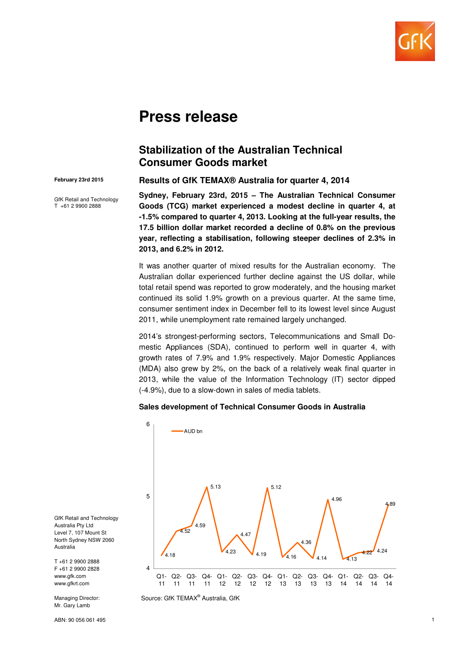

# **Press release**

## **Stabilization of the Australian Technical Consumer Goods market**

#### **February 23rd 2015**

GfK Retail and Technology T +61 2 9900 2888

**Results of GfK TEMAX® Australia for quarter 4, 2014**

**Sydney, February 23rd, 2015 – The Australian Technical Consumer Goods (TCG) market experienced a modest decline in quarter 4, at -1.5% compared to quarter 4, 2013. Looking at the full-year results, the 17.5 billion dollar market recorded a decline of 0.8% on the previous year, reflecting a stabilisation, following steeper declines of 2.3% in 2013, and 6.2% in 2012.** 

It was another quarter of mixed results for the Australian economy. The Australian dollar experienced further decline against the US dollar, while total retail spend was reported to grow moderately, and the housing market continued its solid 1.9% growth on a previous quarter. At the same time, consumer sentiment index in December fell to its lowest level since August 2011, while unemployment rate remained largely unchanged.

2014's strongest-performing sectors, Telecommunications and Small Domestic Appliances (SDA), continued to perform well in quarter 4, with growth rates of 7.9% and 1.9% respectively. Major Domestic Appliances (MDA) also grew by 2%, on the back of a relatively weak final quarter in 2013, while the value of the Information Technology (IT) sector dipped (-4.9%), due to a slow-down in sales of media tablets.

#### **Sales development of Technical Consumer Goods in Australia**



Source: GfK TEMAX® Australia, GfK

GfK Retail and Technology Australia Pty Ltd Level 7, 107 Mount St North Sydney NSW 2060 Australia

T +61 2 9900 2888 F +61 2 9900 2828 www.gfk.com www.gfkrt.com

Managing Director: Mr. Gary Lamb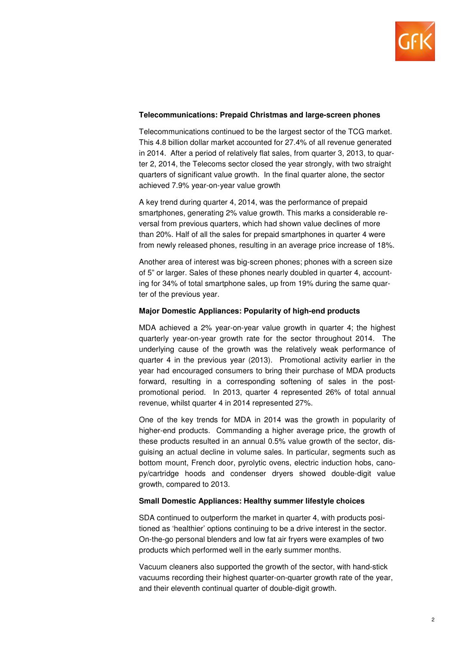

#### **Telecommunications: Prepaid Christmas and large-screen phones**

Telecommunications continued to be the largest sector of the TCG market. This 4.8 billion dollar market accounted for 27.4% of all revenue generated in 2014. After a period of relatively flat sales, from quarter 3, 2013, to quarter 2, 2014, the Telecoms sector closed the year strongly, with two straight quarters of significant value growth. In the final quarter alone, the sector achieved 7.9% year-on-year value growth

A key trend during quarter 4, 2014, was the performance of prepaid smartphones, generating 2% value growth. This marks a considerable reversal from previous quarters, which had shown value declines of more than 20%. Half of all the sales for prepaid smartphones in quarter 4 were from newly released phones, resulting in an average price increase of 18%.

Another area of interest was big-screen phones; phones with a screen size of 5" or larger. Sales of these phones nearly doubled in quarter 4, accounting for 34% of total smartphone sales, up from 19% during the same quarter of the previous year.

#### **Major Domestic Appliances: Popularity of high-end products**

MDA achieved a 2% year-on-year value growth in quarter 4; the highest quarterly year-on-year growth rate for the sector throughout 2014. The underlying cause of the growth was the relatively weak performance of quarter 4 in the previous year (2013). Promotional activity earlier in the year had encouraged consumers to bring their purchase of MDA products forward, resulting in a corresponding softening of sales in the postpromotional period. In 2013, quarter 4 represented 26% of total annual revenue, whilst quarter 4 in 2014 represented 27%.

One of the key trends for MDA in 2014 was the growth in popularity of higher-end products. Commanding a higher average price, the growth of these products resulted in an annual 0.5% value growth of the sector, disguising an actual decline in volume sales. In particular, segments such as bottom mount, French door, pyrolytic ovens, electric induction hobs, canopy/cartridge hoods and condenser dryers showed double-digit value growth, compared to 2013.

#### **Small Domestic Appliances: Healthy summer lifestyle choices**

SDA continued to outperform the market in quarter 4, with products positioned as 'healthier' options continuing to be a drive interest in the sector. On-the-go personal blenders and low fat air fryers were examples of two products which performed well in the early summer months.

Vacuum cleaners also supported the growth of the sector, with hand-stick vacuums recording their highest quarter-on-quarter growth rate of the year, and their eleventh continual quarter of double-digit growth.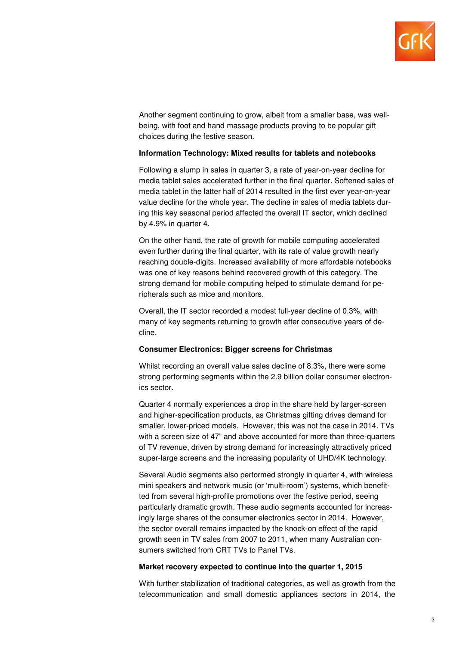

Another segment continuing to grow, albeit from a smaller base, was wellbeing, with foot and hand massage products proving to be popular gift choices during the festive season.

#### **Information Technology: Mixed results for tablets and notebooks**

Following a slump in sales in quarter 3, a rate of year-on-year decline for media tablet sales accelerated further in the final quarter. Softened sales of media tablet in the latter half of 2014 resulted in the first ever year-on-year value decline for the whole year. The decline in sales of media tablets during this key seasonal period affected the overall IT sector, which declined by 4.9% in quarter 4.

On the other hand, the rate of growth for mobile computing accelerated even further during the final quarter, with its rate of value growth nearly reaching double-digits. Increased availability of more affordable notebooks was one of key reasons behind recovered growth of this category. The strong demand for mobile computing helped to stimulate demand for peripherals such as mice and monitors.

Overall, the IT sector recorded a modest full-year decline of 0.3%, with many of key segments returning to growth after consecutive years of decline.

#### **Consumer Electronics: Bigger screens for Christmas**

Whilst recording an overall value sales decline of 8.3%, there were some strong performing segments within the 2.9 billion dollar consumer electronics sector.

Quarter 4 normally experiences a drop in the share held by larger-screen and higher-specification products, as Christmas gifting drives demand for smaller, lower-priced models. However, this was not the case in 2014. TVs with a screen size of 47" and above accounted for more than three-quarters of TV revenue, driven by strong demand for increasingly attractively priced super-large screens and the increasing popularity of UHD/4K technology.

Several Audio segments also performed strongly in quarter 4, with wireless mini speakers and network music (or 'multi-room') systems, which benefitted from several high-profile promotions over the festive period, seeing particularly dramatic growth. These audio segments accounted for increasingly large shares of the consumer electronics sector in 2014. However, the sector overall remains impacted by the knock-on effect of the rapid growth seen in TV sales from 2007 to 2011, when many Australian consumers switched from CRT TVs to Panel TVs.

#### **Market recovery expected to continue into the quarter 1, 2015**

With further stabilization of traditional categories, as well as growth from the telecommunication and small domestic appliances sectors in 2014, the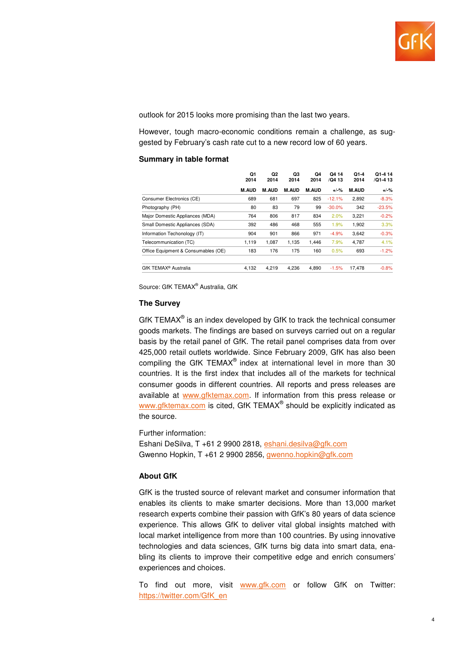

outlook for 2015 looks more promising than the last two years.

However, tough macro-economic conditions remain a challenge, as suggested by February's cash rate cut to a new record low of 60 years.

#### **Summary in table format**

|                                     | Q1<br>2014<br><b>M.AUD</b> | Q <sub>2</sub><br>2014<br><b>M.AUD</b> | Q3<br>2014<br><b>M.AUD</b> | Q4<br>2014<br><b>M.AUD</b> | Q4 14<br>/Q4 13<br>$+/-%$ | $Q1 - 4$<br>2014<br><b>M.AUD</b> | Q1-4 14<br>/Q1-4 13<br>$+/-%$ |
|-------------------------------------|----------------------------|----------------------------------------|----------------------------|----------------------------|---------------------------|----------------------------------|-------------------------------|
|                                     |                            |                                        |                            |                            |                           |                                  |                               |
| Consumer Electronics (CE)           | 689                        | 681                                    | 697                        | 825                        | $-12.1%$                  | 2.892                            | $-8.3%$                       |
| Photography (PH)                    | 80                         | 83                                     | 79                         | 99                         | $-30.0%$                  | 342                              | $-23.5%$                      |
| Major Domestic Appliances (MDA)     | 764                        | 806                                    | 817                        | 834                        | 2.0%                      | 3,221                            | $-0.2%$                       |
| Small Domestic Appliances (SDA)     | 392                        | 486                                    | 468                        | 555                        | 1.9%                      | 1,902                            | 3.3%                          |
| Information Techonology (IT)        | 904                        | 901                                    | 866                        | 971                        | $-4.9%$                   | 3,642                            | $-0.3%$                       |
| Telecommunication (TC)              | 1,119                      | 1.087                                  | 1.135                      | 1.446                      | 7.9%                      | 4.787                            | 4.1%                          |
| Office Equipment & Consumables (OE) | 183                        | 176                                    | 175                        | 160                        | 0.5%                      | 693                              | $-1.2%$                       |
| GfK TEMAX <sup>®</sup> Australia    | 4,132                      | 4.219                                  | 4.236                      | 4.890                      | $-1.5%$                   | 17.478                           | $-0.8%$                       |

Source: GfK TEMAX<sup>®</sup> Australia, GfK

#### **The Survey**

GfK TEMAX $^{\circ}$  is an index developed by GfK to track the technical consumer goods markets. The findings are based on surveys carried out on a regular basis by the retail panel of GfK. The retail panel comprises data from over 425,000 retail outlets worldwide. Since February 2009, GfK has also been compiling the GfK TEMAX® index at international level in more than 30 countries. It is the first index that includes all of the markets for technical consumer goods in different countries. All reports and press releases are available at www.gfktemax.com. If information from this press release or www.gfktemax.com is cited, GfK TEMAX® should be explicitly indicated as the source.

Further information:

Eshani DeSilva, T +61 2 9900 2818, eshani.desilva@gfk.com Gwenno Hopkin, T +61 2 9900 2856, gwenno.hopkin@gfk.com

### **About GfK**

GfK is the trusted source of relevant market and consumer information that enables its clients to make smarter decisions. More than 13,000 market research experts combine their passion with GfK's 80 years of data science experience. This allows GfK to deliver vital global insights matched with local market intelligence from more than 100 countries. By using innovative technologies and data sciences, GfK turns big data into smart data, enabling its clients to improve their competitive edge and enrich consumers' experiences and choices.

To find out more, visit www.gfk.com or follow GfK on Twitter: https://twitter.com/GfK\_en